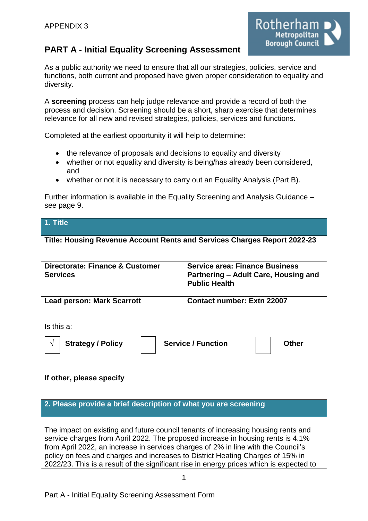

# **PART A - Initial Equality Screening Assessment**

As a public authority we need to ensure that all our strategies, policies, service and functions, both current and proposed have given proper consideration to equality and diversity.

A **screening** process can help judge relevance and provide a record of both the process and decision. Screening should be a short, sharp exercise that determines relevance for all new and revised strategies, policies, services and functions.

Completed at the earliest opportunity it will help to determine:

- the relevance of proposals and decisions to equality and diversity
- whether or not equality and diversity is being/has already been considered, and
- whether or not it is necessary to carry out an Equality Analysis (Part B).

Further information is available in the Equality Screening and Analysis Guidance – see page 9.

| 1. Title                                                                            |                                                                                                       |  |  |  |
|-------------------------------------------------------------------------------------|-------------------------------------------------------------------------------------------------------|--|--|--|
| Title: Housing Revenue Account Rents and Services Charges Report 2022-23            |                                                                                                       |  |  |  |
| Directorate: Finance & Customer<br><b>Services</b>                                  | <b>Service area: Finance Business</b><br>Partnering – Adult Care, Housing and<br><b>Public Health</b> |  |  |  |
| <b>Lead person: Mark Scarrott</b>                                                   | <b>Contact number: Extn 22007</b>                                                                     |  |  |  |
| Is this a:                                                                          |                                                                                                       |  |  |  |
| <b>Service / Function</b><br><b>Strategy / Policy</b><br><b>Other</b><br>$\sqrt{ }$ |                                                                                                       |  |  |  |
| If other, please specify                                                            |                                                                                                       |  |  |  |

#### **2. Please provide a brief description of what you are screening**

The impact on existing and future council tenants of increasing housing rents and service charges from April 2022. The proposed increase in housing rents is 4.1% from April 2022, an increase in services charges of 2% in line with the Council's policy on fees and charges and increases to District Heating Charges of 15% in 2022/23. This is a result of the significant rise in energy prices which is expected to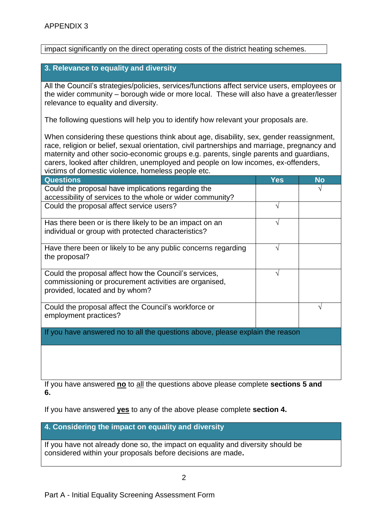impact significantly on the direct operating costs of the district heating schemes.

### **3. Relevance to equality and diversity**

All the Council's strategies/policies, services/functions affect service users, employees or the wider community – borough wide or more local. These will also have a greater/lesser relevance to equality and diversity.

The following questions will help you to identify how relevant your proposals are.

When considering these questions think about age, disability, sex, gender reassignment, race, religion or belief, sexual orientation, civil partnerships and marriage, pregnancy and maternity and other socio-economic groups e.g. parents, single parents and guardians, carers, looked after children, unemployed and people on low incomes, ex-offenders, victims of domestic violence, homeless people etc.

| <b>Questions</b>                                                                                                                                  | <b>Yes</b> | <b>No</b> |
|---------------------------------------------------------------------------------------------------------------------------------------------------|------------|-----------|
| Could the proposal have implications regarding the                                                                                                |            |           |
| accessibility of services to the whole or wider community?                                                                                        |            |           |
| Could the proposal affect service users?                                                                                                          |            |           |
| Has there been or is there likely to be an impact on an                                                                                           |            |           |
| individual or group with protected characteristics?                                                                                               |            |           |
| Have there been or likely to be any public concerns regarding<br>the proposal?                                                                    |            |           |
| Could the proposal affect how the Council's services,<br>commissioning or procurement activities are organised,<br>provided, located and by whom? |            |           |
| Could the proposal affect the Council's workforce or<br>employment practices?                                                                     |            |           |
| If you have answered no to all the questions above, please explain the reason                                                                     |            |           |

If you have answered **no** to all the questions above please complete **sections 5 and 6.**

If you have answered **yes** to any of the above please complete **section 4.** 

**4. Considering the impact on equality and diversity**

If you have not already done so, the impact on equality and diversity should be considered within your proposals before decisions are made**.**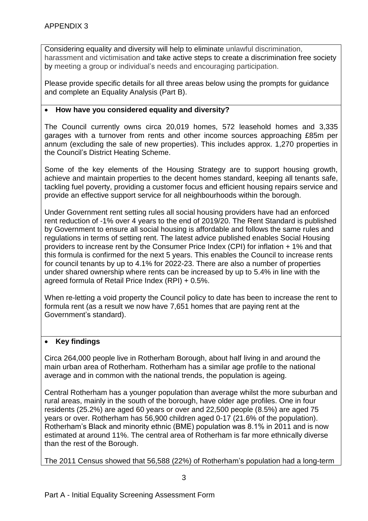Considering equality and diversity will help to eliminate unlawful discrimination, harassment and victimisation and take active steps to create a discrimination free society by meeting a group or individual's needs and encouraging participation.

Please provide specific details for all three areas below using the prompts for guidance and complete an Equality Analysis (Part B).

### **How have you considered equality and diversity?**

The Council currently owns circa 20,019 homes, 572 leasehold homes and 3,335 garages with a turnover from rents and other income sources approaching £85m per annum (excluding the sale of new properties). This includes approx. 1,270 properties in the Council's District Heating Scheme.

Some of the key elements of the Housing Strategy are to support housing growth, achieve and maintain properties to the decent homes standard, keeping all tenants safe, tackling fuel poverty, providing a customer focus and efficient housing repairs service and provide an effective support service for all neighbourhoods within the borough.

Under Government rent setting rules all social housing providers have had an enforced rent reduction of -1% over 4 years to the end of 2019/20. The Rent Standard is published by Government to ensure all social housing is affordable and follows the same rules and regulations in terms of setting rent. The latest advice published enables Social Housing providers to increase rent by the Consumer Price Index (CPI) for inflation + 1% and that this formula is confirmed for the next 5 years. This enables the Council to increase rents for council tenants by up to 4.1% for 2022-23. There are also a number of properties under shared ownership where rents can be increased by up to 5.4% in line with the agreed formula of Retail Price Index (RPI) + 0.5%.

When re-letting a void property the Council policy to date has been to increase the rent to formula rent (as a result we now have 7,651 homes that are paying rent at the Government's standard).

# **Key findings**

Circa 264,000 people live in Rotherham Borough, about half living in and around the main urban area of Rotherham. Rotherham has a similar age profile to the national average and in common with the national trends, the population is ageing.

Central Rotherham has a younger population than average whilst the more suburban and rural areas, mainly in the south of the borough, have older age profiles. One in four residents (25.2%) are aged 60 years or over and 22,500 people (8.5%) are aged 75 years or over. Rotherham has 56,900 children aged 0-17 (21.6% of the population). Rotherham's Black and minority ethnic (BME) population was 8.1% in 2011 and is now estimated at around 11%. The central area of Rotherham is far more ethnically diverse than the rest of the Borough.

The 2011 Census showed that 56,588 (22%) of Rotherham's population had a long-term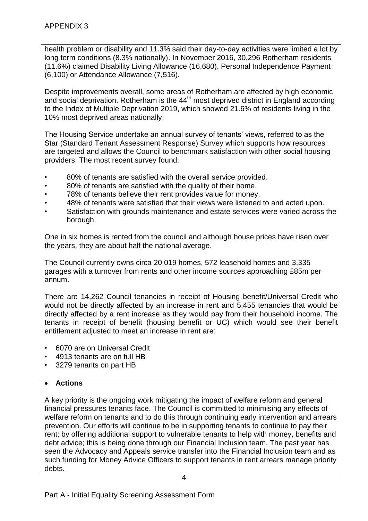health problem or disability and 11.3% said their day-to-day activities were limited a lot by long term conditions (8.3% nationally). In November 2016, 30,296 Rotherham residents (11.6%) claimed Disability Living Allowance (16,680), Personal Independence Payment (6,100) or Attendance Allowance (7,516).

Despite improvements overall, some areas of Rotherham are affected by high economic and social deprivation. Rotherham is the  $44<sup>th</sup>$  most deprived district in England according to the Index of Multiple Deprivation 2019, which showed 21.6% of residents living in the 10% most deprived areas nationally.

The Housing Service undertake an annual survey of tenants' views, referred to as the Star (Standard Tenant Assessment Response) Survey which supports how resources are targeted and allows the Council to benchmark satisfaction with other social housing providers. The most recent survey found:

- 80% of tenants are satisfied with the overall service provided.
- 80% of tenants are satisfied with the quality of their home.
- 78% of tenants believe their rent provides value for money.
- 48% of tenants were satisfied that their views were listened to and acted upon.
- Satisfaction with grounds maintenance and estate services were varied across the borough.

One in six homes is rented from the council and although house prices have risen over the years, they are about half the national average.

The Council currently owns circa 20,019 homes, 572 leasehold homes and 3,335 garages with a turnover from rents and other income sources approaching £85m per annum.

There are 14,262 Council tenancies in receipt of Housing benefit/Universal Credit who would not be directly affected by an increase in rent and 5,455 tenancies that would be directly affected by a rent increase as they would pay from their household income. The tenants in receipt of benefit (housing benefit or UC) which would see their benefit entitlement adjusted to meet an increase in rent are:

- 6070 are on Universal Credit
- 4913 tenants are on full HB
- 3279 tenants on part HB

# **Actions**

A key priority is the ongoing work mitigating the impact of welfare reform and general financial pressures tenants face. The Council is committed to minimising any effects of welfare reform on tenants and to do this through continuing early intervention and arrears prevention. Our efforts will continue to be in supporting tenants to continue to pay their rent; by offering additional support to vulnerable tenants to help with money, benefits and debt advice; this is being done through our Financial Inclusion team. The past year has seen the Advocacy and Appeals service transfer into the Financial Inclusion team and as such funding for Money Advice Officers to support tenants in rent arrears manage priority debts.